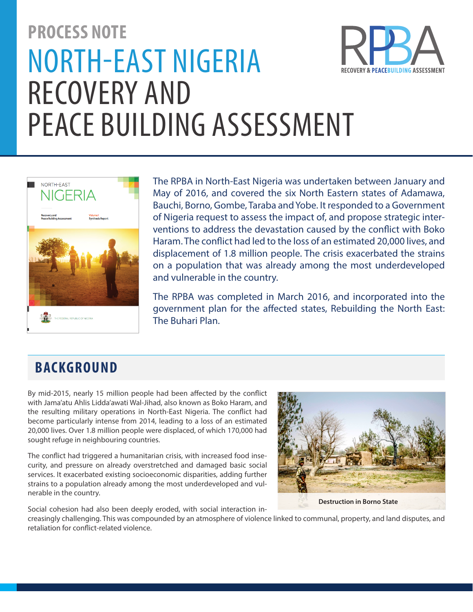# **PROCESS NOTE** NORTH-EAST NIGERIA **FRY & PEACERIJII DING ASSI** RECOVERY AND PEACE BUILDING ASSESSMENT



The RPBA in North-East Nigeria was undertaken between January and May of 2016, and covered the six North Eastern states of Adamawa, Bauchi, Borno, Gombe, Taraba and Yobe. It responded to a Government of Nigeria request to assess the impact of, and propose strategic interventions to address the devastation caused by the conflict with Boko Haram. The conflict had led to the loss of an estimated 20,000 lives, and displacement of 1.8 million people. The crisis exacerbated the strains on a population that was already among the most underdeveloped and vulnerable in the country.

The RPBA was completed in March 2016, and incorporated into the government plan for the affected states, Rebuilding the North East: The Buhari Plan.

# **BACKGROUND**

By mid-2015, nearly 15 million people had been affected by the conflict with Jama'atu Ahlis Lidda'awati Wal-Jihad, also known as Boko Haram, and the resulting military operations in North-East Nigeria. The conflict had become particularly intense from 2014, leading to a loss of an estimated 20,000 lives. Over 1.8 million people were displaced, of which 170,000 had sought refuge in neighbouring countries.

The conflict had triggered a humanitarian crisis, with increased food insecurity, and pressure on already overstretched and damaged basic social services. It exacerbated existing socioeconomic disparities, adding further strains to a population already among the most underdeveloped and vulnerable in the country.

**Destruction in Borno State**

Social cohesion had also been deeply eroded, with social interaction increasingly challenging. This was compounded by an atmosphere of violence linked to communal, property, and land disputes, and retaliation for conflict-related violence.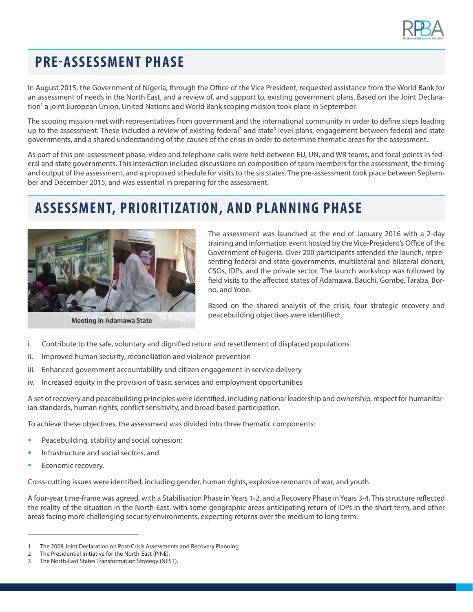

# **PRE-ASSESSMENT PHASE**

In August 2015, the Government of Nigeria, through the Office of the Vice President, requested assistance from the World Bank for an assessment of needs in the North East, and a review of, and support to, existing government plans. Based on the Joint Declaration<sup>1</sup> a joint European Union, United Nations and World Bank scoping mission took place in September.

The scoping mission met with representatives from government and the international community in order to define steps leading up to the assessment. These included a review of existing federal<sup>2</sup> and state<sup>3</sup> level plans, engagement between federal and state governments, and a shared understanding of the causes of the crisis in order to determine thematic areas for the assessment.

As part of this pre-assessment phase, video and telephone calls were held between EU, UN, and WB teams, and focal points in federal and state governments. This interaction included discussions on composition of team members for the assessment, the timing and output of the assessment, and a proposed schedule for visits to the six states. The pre-assessment took place between September and December 2015, and was essential in preparing for the assessment.

# **ASSESSMENT, PRIORITIZ ATION, AND PLANNING PHASE**



**Meeting in Adamawa State**

The assessment was launched at the end of January 2016 with a 2-day training and information event hosted by the Vice-President's Office of the Government of Nigeria. Over 200 participants attended the launch, representing federal and state governments, multilateral and bilateral donors, CSOs, IDPs, and the private sector. The launch workshop was followed by field visits to the affected states of Adamawa, Bauchi, Gombe, Taraba, Borno, and Yobe.

Based on the shared analysis of the crisis, four strategic recovery and peacebuilding objectives were identified:

- i. Contribute to the safe, voluntary and dignified return and resettlement of displaced populations
- ii. Improved human security, reconciliation and violence prevention
- iii. Enhanced government accountability and citizen engagement in service delivery
- iv. Increased equity in the provision of basic services and employment opportunities

A set of recovery and peacebuilding principles were identified, including national leadership and ownership, respect for humanitarian standards, human rights, conflict sensitivity, and broad-based participation.

To achieve these objectives, the assessment was divided into three thematic components:

- Peacebuilding, stability and social cohesion;
- Infrastructure and social sectors, and
- Economic recovery.

Cross-cutting issues were identified, including gender, human rights, explosive remnants of war, and youth.

A four-year time-frame was agreed, with a Stabilisation Phase in Years 1-2, and a Recovery Phase in Years 3-4. This structure reflected the reality of the situation in the North-East, with some geographic areas anticipating return of IDPs in the short term, and other areas facing more challenging security environments, expecting returns over the medium to long term.

<sup>1</sup> The 2008 Joint Declaration on Post-Crisis Assessments and Recovery Planning

<sup>2</sup> The Presidential Initiative for the North-East (PINE).

<sup>3</sup> The North-East States Transformation Strategy (NEST).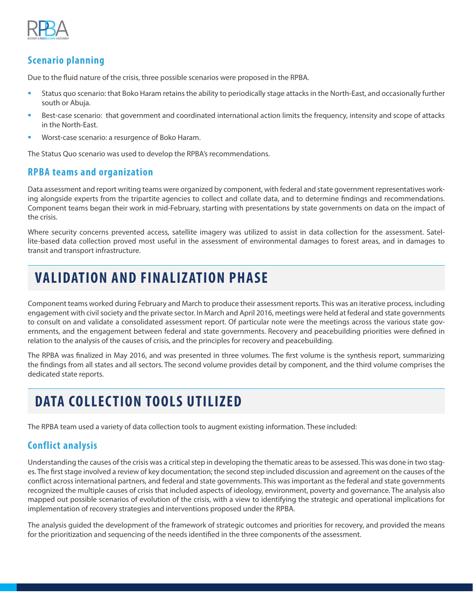

#### **Scenario planning**

Due to the fluid nature of the crisis, three possible scenarios were proposed in the RPBA.

- **•** Status quo scenario: that Boko Haram retains the ability to periodically stage attacks in the North-East, and occasionally further south or Abuja.
- **•** Best-case scenario: that government and coordinated international action limits the frequency, intensity and scope of attacks in the North-East.
- Worst-case scenario: a resurgence of Boko Haram.

The Status Quo scenario was used to develop the RPBA's recommendations.

#### **RPBA teams and organization**

Data assessment and report writing teams were organized by component, with federal and state government representatives working alongside experts from the tripartite agencies to collect and collate data, and to determine findings and recommendations. Component teams began their work in mid-February, starting with presentations by state governments on data on the impact of the crisis.

Where security concerns prevented access, satellite imagery was utilized to assist in data collection for the assessment. Satellite-based data collection proved most useful in the assessment of environmental damages to forest areas, and in damages to transit and transport infrastructure.

# **VALIDATION AND FINALIZATION PHASE**

Component teams worked during February and March to produce their assessment reports. This was an iterative process, including engagement with civil society and the private sector. In March and April 2016, meetings were held at federal and state governments to consult on and validate a consolidated assessment report. Of particular note were the meetings across the various state governments, and the engagement between federal and state governments. Recovery and peacebuilding priorities were defined in relation to the analysis of the causes of crisis, and the principles for recovery and peacebuilding.

The RPBA was finalized in May 2016, and was presented in three volumes. The first volume is the synthesis report, summarizing the findings from all states and all sectors. The second volume provides detail by component, and the third volume comprises the dedicated state reports.

# **DATA COLLECTION TOOLS UTILIZED**

The RPBA team used a variety of data collection tools to augment existing information. These included:

#### **Conflict analysis**

Understanding the causes of the crisis was a critical step in developing the thematic areas to be assessed. This was done in two stages. The first stage involved a review of key documentation; the second step included discussion and agreement on the causes of the conflict across international partners, and federal and state governments. This was important as the federal and state governments recognized the multiple causes of crisis that included aspects of ideology, environment, poverty and governance. The analysis also mapped out possible scenarios of evolution of the crisis, with a view to identifying the strategic and operational implications for implementation of recovery strategies and interventions proposed under the RPBA.

The analysis guided the development of the framework of strategic outcomes and priorities for recovery, and provided the means for the prioritization and sequencing of the needs identified in the three components of the assessment.